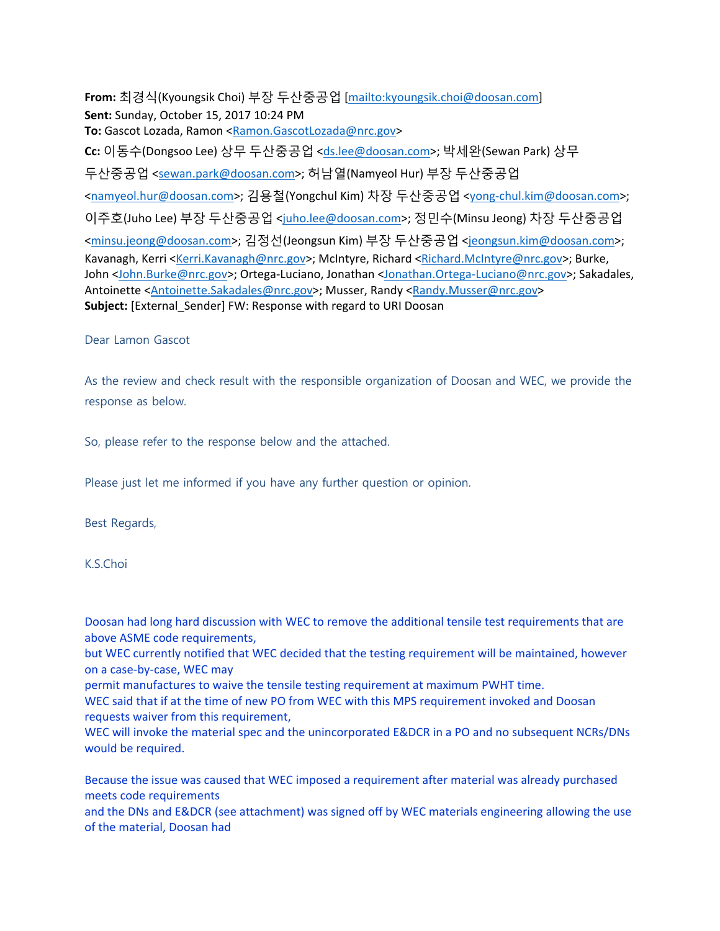**From:** 최경식(Kyoungsik Choi) 부장 두산중공업 [mailto:kyoungsik.choi@doosan.com] **Sent:** Sunday, October 15, 2017 10:24 PM **To:** Gascot Lozada, Ramon <Ramon.GascotLozada@nrc.gov> **Cc:** 이동수(Dongsoo Lee) 상무 두산중공업 <ds.lee@doosan.com>; 박세완(Sewan Park) 상무 두산중공업 <sewan.park@doosan.com>; 허남열(Namyeol Hur) 부장 두산중공업 <namyeol.hur@doosan.com>; 김용철(Yongchul Kim) 차장 두산중공업 <yong-chul.kim@doosan.com>; 이주호(Juho Lee) 부장 두산중공업 <juho.lee@doosan.com>; 정민수(Minsu Jeong) 차장 두산중공업 <minsu.jeong@doosan.com>; 김정선(Jeongsun Kim) 부장 두산중공업 <jeongsun.kim@doosan.com>; Kavanagh, Kerri <Kerri.Kavanagh@nrc.gov>; McIntyre, Richard <Richard.McIntyre@nrc.gov>; Burke, John <John.Burke@nrc.gov>; Ortega-Luciano, Jonathan <Jonathan.Ortega-Luciano@nrc.gov>; Sakadales, Antoinette <Antoinette.Sakadales@nrc.gov>; Musser, Randy <Randy.Musser@nrc.gov> **Subject:** [External\_Sender] FW: Response with regard to URI Doosan

## Dear Lamon Gascot

As the review and check result with the responsible organization of Doosan and WEC, we provide the response as below.

So, please refer to the response below and the attached.

Please just let me informed if you have any further question or opinion.

Best Regards,

K.S.Choi

Doosan had long hard discussion with WEC to remove the additional tensile test requirements that are above ASME code requirements,

but WEC currently notified that WEC decided that the testing requirement will be maintained, however on a case-by-case, WEC may

permit manufactures to waive the tensile testing requirement at maximum PWHT time.

WEC said that if at the time of new PO from WEC with this MPS requirement invoked and Doosan requests waiver from this requirement,

WEC will invoke the material spec and the unincorporated E&DCR in a PO and no subsequent NCRs/DNs would be required.

Because the issue was caused that WEC imposed a requirement after material was already purchased meets code requirements

and the DNs and E&DCR (see attachment) was signed off by WEC materials engineering allowing the use of the material, Doosan had